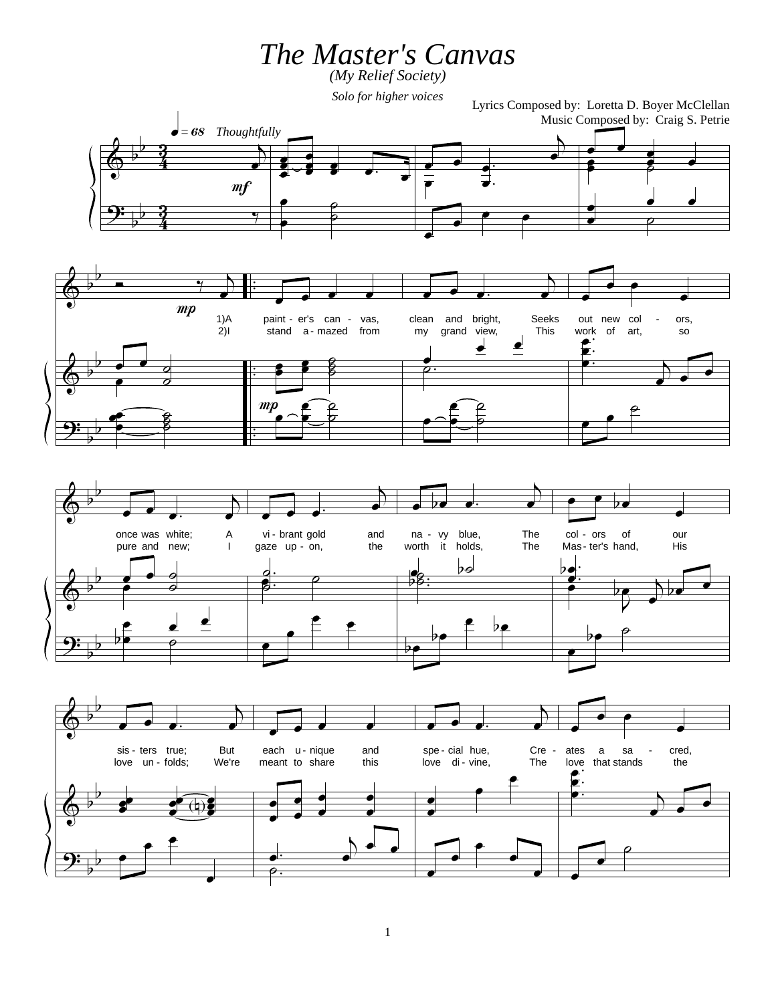*The Master's Canvas*

*(My Relief Society)*

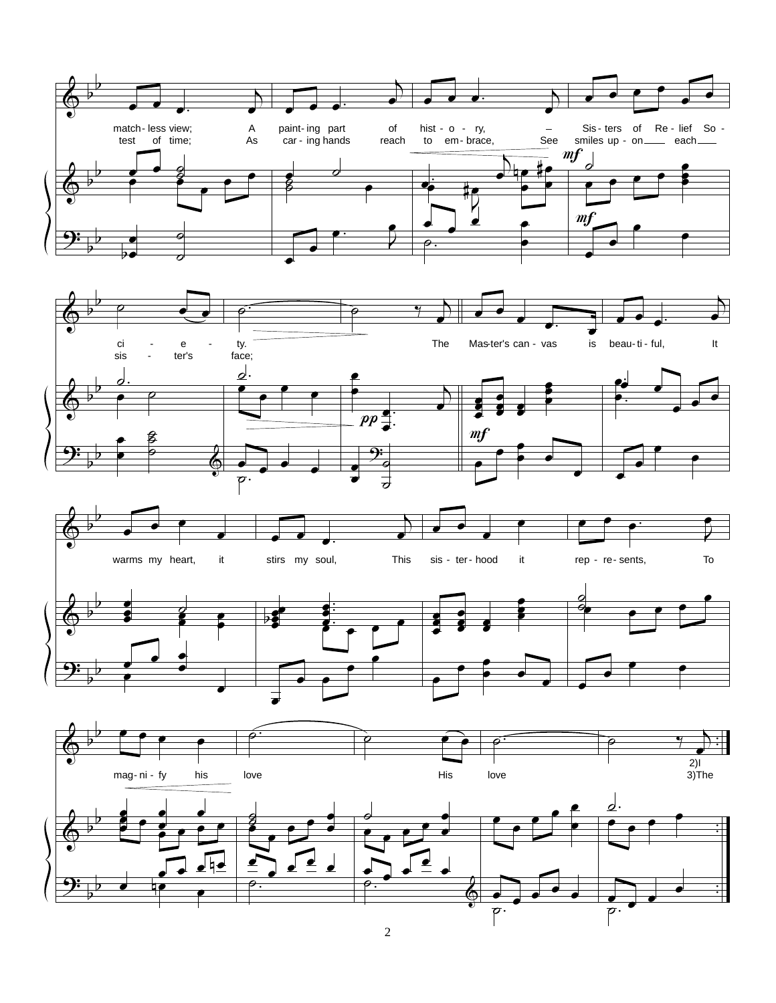